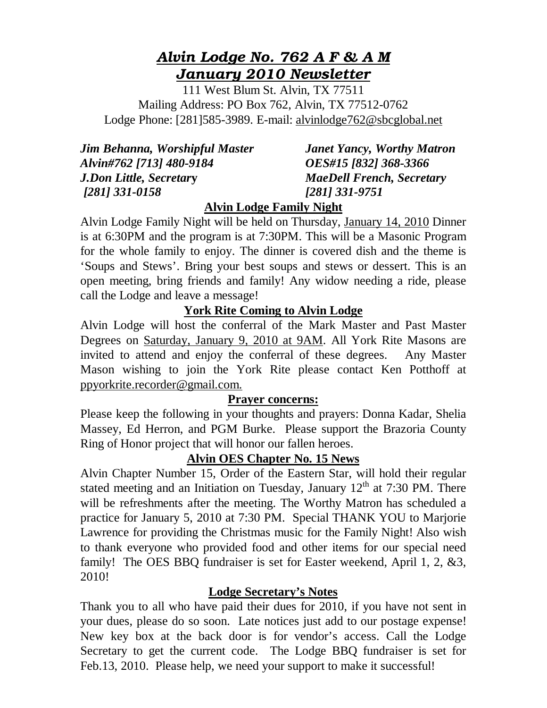# *Alvin Lodge No. 762 A F & A M January 2010 Newsletter*

111 West Blum St. Alvin, TX 77511 Mailing Address: PO Box 762, Alvin, TX 77512-0762 Lodge Phone: [281]585-3989. E-mail: alvinlodge762@sbcglobal.net

| Jim Behanna, Worshipful Master |  |
|--------------------------------|--|
| Alvin#762 [713] 480-9184       |  |
| <b>J.Don Little, Secretary</b> |  |
| [281] 331-0158                 |  |

*Janet Yancy, Worthy Matron Alvin#762 [713] 480-9184 OES#15 [832] 368-3366 J.Don Little, Secretar***y** *MaeDell French, Secretary [281] 331-0158 [281] 331-9751* 

## **Alvin Lodge Family Night**

Alvin Lodge Family Night will be held on Thursday, January 14, 2010 Dinner is at 6:30PM and the program is at 7:30PM. This will be a Masonic Program for the whole family to enjoy. The dinner is covered dish and the theme is 'Soups and Stews'. Bring your best soups and stews or dessert. This is an open meeting, bring friends and family! Any widow needing a ride, please call the Lodge and leave a message!

## **York Rite Coming to Alvin Lodge**

Alvin Lodge will host the conferral of the Mark Master and Past Master Degrees on Saturday, January 9, 2010 at 9AM. All York Rite Masons are invited to attend and enjoy the conferral of these degrees. Any Master Mason wishing to join the York Rite please contact Ken Potthoff at ppyorkrite.recorder@gmail.com.

### **Prayer concerns:**

Please keep the following in your thoughts and prayers: Donna Kadar, Shelia Massey, Ed Herron, and PGM Burke. Please support the Brazoria County Ring of Honor project that will honor our fallen heroes.

## **Alvin OES Chapter No. 15 News**

Alvin Chapter Number 15, Order of the Eastern Star, will hold their regular stated meeting and an Initiation on Tuesday, January  $12<sup>th</sup>$  at 7:30 PM. There will be refreshments after the meeting. The Worthy Matron has scheduled a practice for January 5, 2010 at 7:30 PM. Special THANK YOU to Marjorie Lawrence for providing the Christmas music for the Family Night! Also wish to thank everyone who provided food and other items for our special need family! The OES BBQ fundraiser is set for Easter weekend, April 1, 2, &3, 2010!

## **Lodge Secretary's Notes**

Thank you to all who have paid their dues for 2010, if you have not sent in your dues, please do so soon. Late notices just add to our postage expense! New key box at the back door is for vendor's access. Call the Lodge Secretary to get the current code. The Lodge BBQ fundraiser is set for Feb.13, 2010. Please help, we need your support to make it successful!